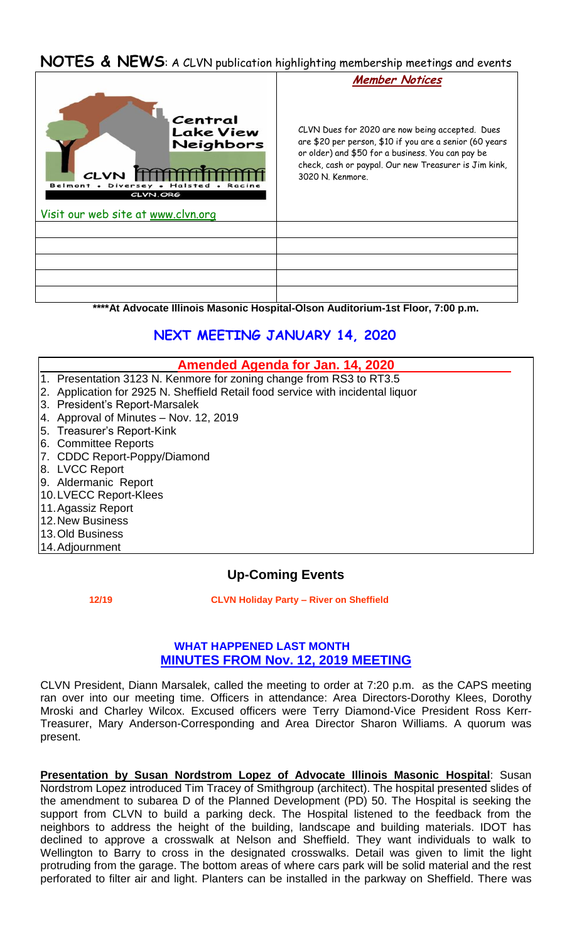# **NOTES & NEWS**: A CLVN publication highlighting membership meetings and events



**\*\*\*\*At Advocate Illinois Masonic Hospital-Olson Auditorium-1st Floor, 7:00 p.m.**

# **NEXT MEETING JANUARY 14, 2020**

#### **Amended Agenda for Jan. 14, 2020**

- 1. Presentation 3123 N. Kenmore for zoning change from RS3 to RT3.5
- 2. Application for 2925 N. Sheffield Retail food service with incidental liquor
- 3. President's Report-Marsalek
- 4. Approval of Minutes Nov. 12, 2019
- 5. Treasurer's Report-Kink
- 6. Committee Reports
- 7. CDDC Report-Poppy/Diamond
- 8. LVCC Report
- 9. Aldermanic Report
- 10.LVECC Report-Klees
- 11.Agassiz Report
- 12.New Business
- 13.Old Business
- 14.Adjournment

# **Up-Coming Events**

 **12/19 CLVN Holiday Party – River on Sheffield** 

### **WHAT HAPPENED LAST MONTH MINUTES FROM Nov. 12, 2019 MEETING**

CLVN President, Diann Marsalek, called the meeting to order at 7:20 p.m. as the CAPS meeting ran over into our meeting time. Officers in attendance: Area Directors-Dorothy Klees, Dorothy Mroski and Charley Wilcox. Excused officers were Terry Diamond-Vice President Ross Kerr-Treasurer, Mary Anderson-Corresponding and Area Director Sharon Williams. A quorum was present.

**Presentation by Susan Nordstrom Lopez of Advocate Illinois Masonic Hospital**: Susan Nordstrom Lopez introduced Tim Tracey of Smithgroup (architect). The hospital presented slides of the amendment to subarea D of the Planned Development (PD) 50. The Hospital is seeking the support from CLVN to build a parking deck. The Hospital listened to the feedback from the neighbors to address the height of the building, landscape and building materials. IDOT has declined to approve a crosswalk at Nelson and Sheffield. They want individuals to walk to Wellington to Barry to cross in the designated crosswalks. Detail was given to limit the light protruding from the garage. The bottom areas of where cars park will be solid material and the rest perforated to filter air and light. Planters can be installed in the parkway on Sheffield. There was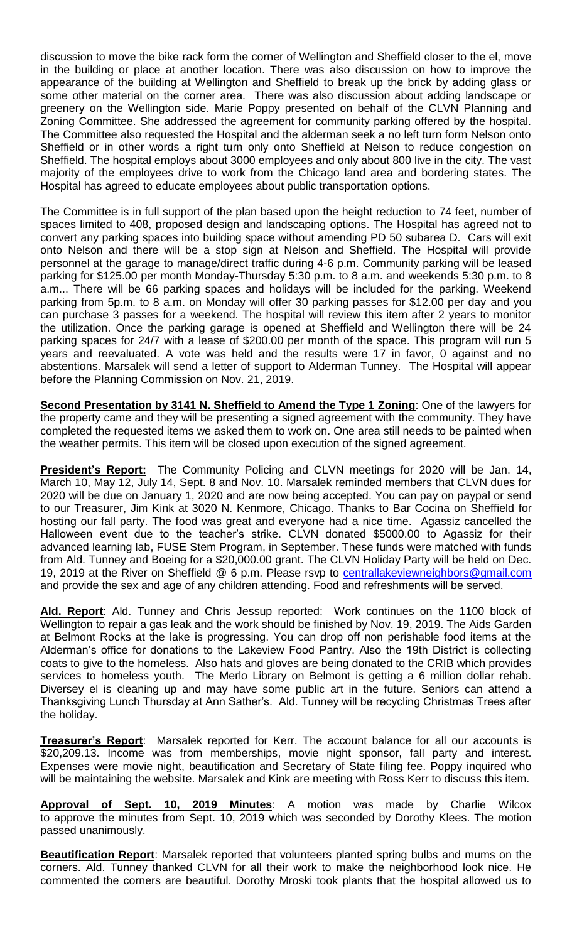discussion to move the bike rack form the corner of Wellington and Sheffield closer to the el, move in the building or place at another location. There was also discussion on how to improve the appearance of the building at Wellington and Sheffield to break up the brick by adding glass or some other material on the corner area. There was also discussion about adding landscape or greenery on the Wellington side. Marie Poppy presented on behalf of the CLVN Planning and Zoning Committee. She addressed the agreement for community parking offered by the hospital. The Committee also requested the Hospital and the alderman seek a no left turn form Nelson onto Sheffield or in other words a right turn only onto Sheffield at Nelson to reduce congestion on Sheffield. The hospital employs about 3000 employees and only about 800 live in the city. The vast majority of the employees drive to work from the Chicago land area and bordering states. The Hospital has agreed to educate employees about public transportation options.

The Committee is in full support of the plan based upon the height reduction to 74 feet, number of spaces limited to 408, proposed design and landscaping options. The Hospital has agreed not to convert any parking spaces into building space without amending PD 50 subarea D. Cars will exit onto Nelson and there will be a stop sign at Nelson and Sheffield. The Hospital will provide personnel at the garage to manage/direct traffic during 4-6 p.m. Community parking will be leased parking for \$125.00 per month Monday-Thursday 5:30 p.m. to 8 a.m. and weekends 5:30 p.m. to 8 a.m... There will be 66 parking spaces and holidays will be included for the parking. Weekend parking from 5p.m. to 8 a.m. on Monday will offer 30 parking passes for \$12.00 per day and you can purchase 3 passes for a weekend. The hospital will review this item after 2 years to monitor the utilization. Once the parking garage is opened at Sheffield and Wellington there will be 24 parking spaces for 24/7 with a lease of \$200.00 per month of the space. This program will run 5 years and reevaluated. A vote was held and the results were 17 in favor, 0 against and no abstentions. Marsalek will send a letter of support to Alderman Tunney. The Hospital will appear before the Planning Commission on Nov. 21, 2019.

**Second Presentation by 3141 N. Sheffield to Amend the Type 1 Zoning**: One of the lawyers for the property came and they will be presenting a signed agreement with the community. They have completed the requested items we asked them to work on. One area still needs to be painted when the weather permits. This item will be closed upon execution of the signed agreement.

**President's Report:** The Community Policing and CLVN meetings for 2020 will be Jan. 14, March 10, May 12, July 14, Sept. 8 and Nov. 10. Marsalek reminded members that CLVN dues for 2020 will be due on January 1, 2020 and are now being accepted. You can pay on paypal or send to our Treasurer, Jim Kink at 3020 N. Kenmore, Chicago. Thanks to Bar Cocina on Sheffield for hosting our fall party. The food was great and everyone had a nice time. Agassiz cancelled the Halloween event due to the teacher's strike. CLVN donated \$5000.00 to Agassiz for their advanced learning lab, FUSE Stem Program, in September. These funds were matched with funds from Ald. Tunney and Boeing for a \$20,000.00 grant. The CLVN Holiday Party will be held on Dec. 19, 2019 at the River on Sheffield @ 6 p.m. Please rsvp to centrallakeviewneighbors@gmail.com and provide the sex and age of any children attending. Food and refreshments will be served.

**Ald. Report**: Ald. Tunney and Chris Jessup reported: Work continues on the 1100 block of Wellington to repair a gas leak and the work should be finished by Nov. 19, 2019. The Aids Garden at Belmont Rocks at the lake is progressing. You can drop off non perishable food items at the Alderman's office for donations to the Lakeview Food Pantry. Also the 19th District is collecting coats to give to the homeless. Also hats and gloves are being donated to the CRIB which provides services to homeless youth. The Merlo Library on Belmont is getting a 6 million dollar rehab. Diversey el is cleaning up and may have some public art in the future. Seniors can attend a Thanksgiving Lunch Thursday at Ann Sather's. Ald. Tunney will be recycling Christmas Trees after the holiday.

**Treasurer's Report**: Marsalek reported for Kerr. The account balance for all our accounts is \$20,209.13. Income was from memberships, movie night sponsor, fall party and interest. Expenses were movie night, beautification and Secretary of State filing fee. Poppy inquired who will be maintaining the website. Marsalek and Kink are meeting with Ross Kerr to discuss this item.

**Approval of Sept. 10, 2019 Minutes**: A motion was made by Charlie Wilcox to approve the minutes from Sept. 10, 2019 which was seconded by Dorothy Klees. The motion passed unanimously.

**Beautification Report**: Marsalek reported that volunteers planted spring bulbs and mums on the corners. Ald. Tunney thanked CLVN for all their work to make the neighborhood look nice. He commented the corners are beautiful. Dorothy Mroski took plants that the hospital allowed us to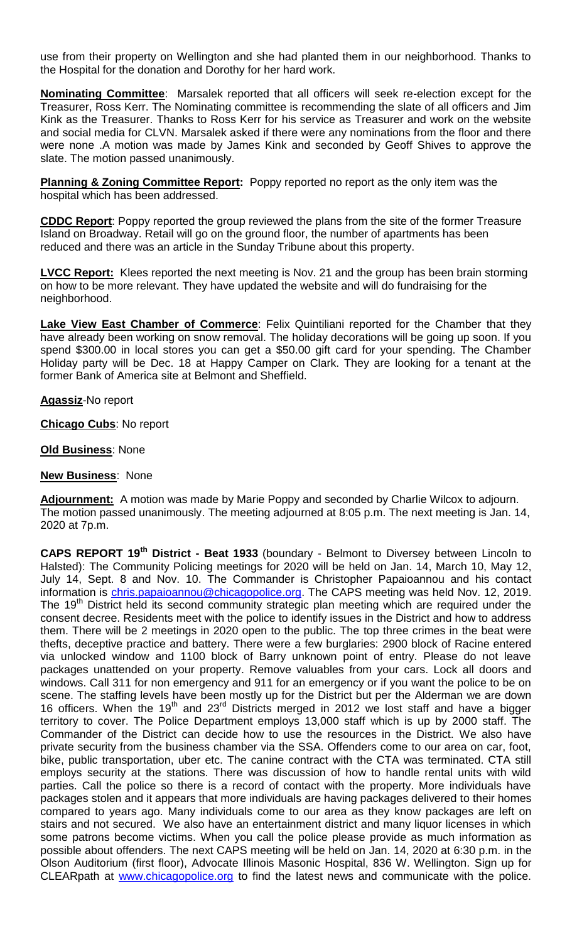use from their property on Wellington and she had planted them in our neighborhood. Thanks to the Hospital for the donation and Dorothy for her hard work.

**Nominating Committee**: Marsalek reported that all officers will seek re-election except for the Treasurer, Ross Kerr. The Nominating committee is recommending the slate of all officers and Jim Kink as the Treasurer. Thanks to Ross Kerr for his service as Treasurer and work on the website and social media for CLVN. Marsalek asked if there were any nominations from the floor and there were none .A motion was made by James Kink and seconded by Geoff Shives to approve the slate. The motion passed unanimously.

**Planning & Zoning Committee Report:** Poppy reported no report as the only item was the hospital which has been addressed.

**CDDC Report**: Poppy reported the group reviewed the plans from the site of the former Treasure Island on Broadway. Retail will go on the ground floor, the number of apartments has been reduced and there was an article in the Sunday Tribune about this property.

**LVCC Report:** Klees reported the next meeting is Nov. 21 and the group has been brain storming on how to be more relevant. They have updated the website and will do fundraising for the neighborhood.

**Lake View East Chamber of Commerce**: Felix Quintiliani reported for the Chamber that they have already been working on snow removal. The holiday decorations will be going up soon. If you spend \$300.00 in local stores you can get a \$50.00 gift card for your spending. The Chamber Holiday party will be Dec. 18 at Happy Camper on Clark. They are looking for a tenant at the former Bank of America site at Belmont and Sheffield.

**Agassiz**-No report

**Chicago Cubs**: No report

**Old Business**: None

#### **New Business**: None

**Adjournment:** A motion was made by Marie Poppy and seconded by Charlie Wilcox to adjourn. The motion passed unanimously. The meeting adjourned at 8:05 p.m. The next meeting is Jan. 14, 2020 at 7p.m.

**CAPS REPORT 19th District - Beat 1933** (boundary - Belmont to Diversey between Lincoln to Halsted): The Community Policing meetings for 2020 will be held on Jan. 14, March 10, May 12, July 14, Sept. 8 and Nov. 10. The Commander is Christopher Papaioannou and his contact information is *chris.papaioannou@chicagopolice.org*. The CAPS meeting was held Nov. 12, 2019. The 19<sup>th</sup> District held its second community strategic plan meeting which are required under the consent decree. Residents meet with the police to identify issues in the District and how to address them. There will be 2 meetings in 2020 open to the public. The top three crimes in the beat were thefts, deceptive practice and battery. There were a few burglaries: 2900 block of Racine entered via unlocked window and 1100 block of Barry unknown point of entry. Please do not leave packages unattended on your property. Remove valuables from your cars. Lock all doors and windows. Call 311 for non emergency and 911 for an emergency or if you want the police to be on scene. The staffing levels have been mostly up for the District but per the Alderman we are down 16 officers. When the 19<sup>th</sup> and 23<sup>rd</sup> Districts merged in 2012 we lost staff and have a bigger territory to cover. The Police Department employs 13,000 staff which is up by 2000 staff. The Commander of the District can decide how to use the resources in the District. We also have private security from the business chamber via the SSA. Offenders come to our area on car, foot, bike, public transportation, uber etc. The canine contract with the CTA was terminated. CTA still employs security at the stations. There was discussion of how to handle rental units with wild parties. Call the police so there is a record of contact with the property. More individuals have packages stolen and it appears that more individuals are having packages delivered to their homes compared to years ago. Many individuals come to our area as they know packages are left on stairs and not secured. We also have an entertainment district and many liquor licenses in which some patrons become victims. When you call the police please provide as much information as possible about offenders. The next CAPS meeting will be held on Jan. 14, 2020 at 6:30 p.m. in the Olson Auditorium (first floor), Advocate Illinois Masonic Hospital, 836 W. Wellington. Sign up for CLEARpath at www.chicagopolice.org to find the latest news and communicate with the police.